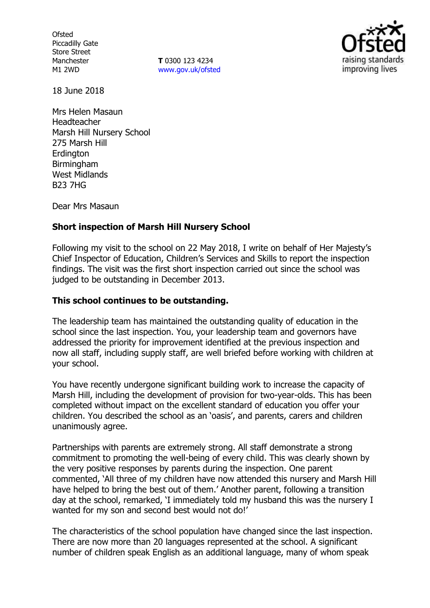**Ofsted** Piccadilly Gate Store Street Manchester M1 2WD

**T** 0300 123 4234 www.gov.uk/ofsted



18 June 2018

Mrs Helen Masaun Headteacher Marsh Hill Nursery School 275 Marsh Hill **Erdington** Birmingham West Midlands B23 7HG

Dear Mrs Masaun

### **Short inspection of Marsh Hill Nursery School**

Following my visit to the school on 22 May 2018, I write on behalf of Her Majesty's Chief Inspector of Education, Children's Services and Skills to report the inspection findings. The visit was the first short inspection carried out since the school was judged to be outstanding in December 2013.

## **This school continues to be outstanding.**

The leadership team has maintained the outstanding quality of education in the school since the last inspection. You, your leadership team and governors have addressed the priority for improvement identified at the previous inspection and now all staff, including supply staff, are well briefed before working with children at your school.

You have recently undergone significant building work to increase the capacity of Marsh Hill, including the development of provision for two-year-olds. This has been completed without impact on the excellent standard of education you offer your children. You described the school as an 'oasis', and parents, carers and children unanimously agree.

Partnerships with parents are extremely strong. All staff demonstrate a strong commitment to promoting the well-being of every child. This was clearly shown by the very positive responses by parents during the inspection. One parent commented, 'All three of my children have now attended this nursery and Marsh Hill have helped to bring the best out of them.' Another parent, following a transition day at the school, remarked, 'I immediately told my husband this was the nursery I wanted for my son and second best would not do!'

The characteristics of the school population have changed since the last inspection. There are now more than 20 languages represented at the school. A significant number of children speak English as an additional language, many of whom speak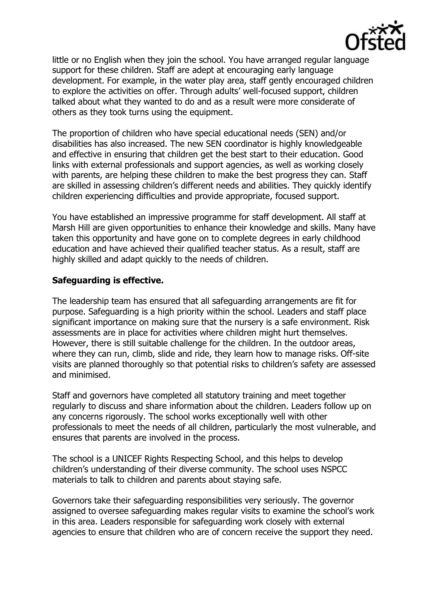

little or no English when they join the school. You have arranged regular language support for these children. Staff are adept at encouraging early language development. For example, in the water play area, staff gently encouraged children to explore the activities on offer. Through adults' well-focused support, children talked about what they wanted to do and as a result were more considerate of others as they took turns using the equipment.

The proportion of children who have special educational needs (SEN) and/or disabilities has also increased. The new SEN coordinator is highly knowledgeable and effective in ensuring that children get the best start to their education. Good links with external professionals and support agencies, as well as working closely with parents, are helping these children to make the best progress they can. Staff are skilled in assessing children's different needs and abilities. They quickly identify children experiencing difficulties and provide appropriate, focused support.

You have established an impressive programme for staff development. All staff at Marsh Hill are given opportunities to enhance their knowledge and skills. Many have taken this opportunity and have gone on to complete degrees in early childhood education and have achieved their qualified teacher status. As a result, staff are highly skilled and adapt quickly to the needs of children.

### **Safeguarding is effective.**

The leadership team has ensured that all safeguarding arrangements are fit for purpose. Safeguarding is a high priority within the school. Leaders and staff place significant importance on making sure that the nursery is a safe environment. Risk assessments are in place for activities where children might hurt themselves. However, there is still suitable challenge for the children. In the outdoor areas, where they can run, climb, slide and ride, they learn how to manage risks. Off-site visits are planned thoroughly so that potential risks to children's safety are assessed and minimised.

Staff and governors have completed all statutory training and meet together regularly to discuss and share information about the children. Leaders follow up on any concerns rigorously. The school works exceptionally well with other professionals to meet the needs of all children, particularly the most vulnerable, and ensures that parents are involved in the process.

The school is a UNICEF Rights Respecting School, and this helps to develop children's understanding of their diverse community. The school uses NSPCC materials to talk to children and parents about staying safe.

Governors take their safeguarding responsibilities very seriously. The governor assigned to oversee safeguarding makes regular visits to examine the school's work in this area. Leaders responsible for safeguarding work closely with external agencies to ensure that children who are of concern receive the support they need.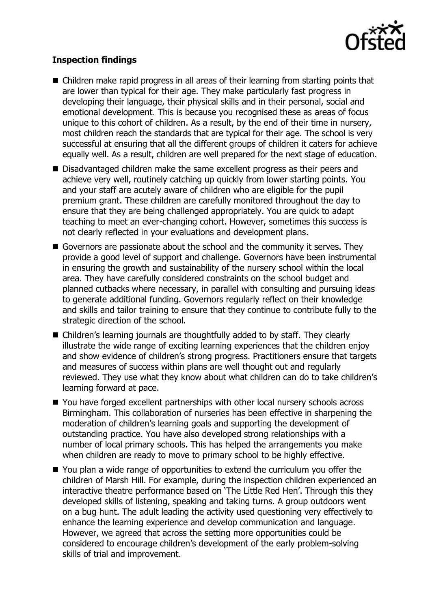

# **Inspection findings**

- Children make rapid progress in all areas of their learning from starting points that are lower than typical for their age. They make particularly fast progress in developing their language, their physical skills and in their personal, social and emotional development. This is because you recognised these as areas of focus unique to this cohort of children. As a result, by the end of their time in nursery, most children reach the standards that are typical for their age. The school is very successful at ensuring that all the different groups of children it caters for achieve equally well. As a result, children are well prepared for the next stage of education.
- Disadvantaged children make the same excellent progress as their peers and achieve very well, routinely catching up quickly from lower starting points. You and your staff are acutely aware of children who are eligible for the pupil premium grant. These children are carefully monitored throughout the day to ensure that they are being challenged appropriately. You are quick to adapt teaching to meet an ever-changing cohort. However, sometimes this success is not clearly reflected in your evaluations and development plans.
- Governors are passionate about the school and the community it serves. They provide a good level of support and challenge. Governors have been instrumental in ensuring the growth and sustainability of the nursery school within the local area. They have carefully considered constraints on the school budget and planned cutbacks where necessary, in parallel with consulting and pursuing ideas to generate additional funding. Governors regularly reflect on their knowledge and skills and tailor training to ensure that they continue to contribute fully to the strategic direction of the school.
- Children's learning journals are thoughtfully added to by staff. They clearly illustrate the wide range of exciting learning experiences that the children enjoy and show evidence of children's strong progress. Practitioners ensure that targets and measures of success within plans are well thought out and regularly reviewed. They use what they know about what children can do to take children's learning forward at pace.
- You have forged excellent partnerships with other local nursery schools across Birmingham. This collaboration of nurseries has been effective in sharpening the moderation of children's learning goals and supporting the development of outstanding practice. You have also developed strong relationships with a number of local primary schools. This has helped the arrangements you make when children are ready to move to primary school to be highly effective.
- You plan a wide range of opportunities to extend the curriculum you offer the children of Marsh Hill. For example, during the inspection children experienced an interactive theatre performance based on 'The Little Red Hen'. Through this they developed skills of listening, speaking and taking turns. A group outdoors went on a bug hunt. The adult leading the activity used questioning very effectively to enhance the learning experience and develop communication and language. However, we agreed that across the setting more opportunities could be considered to encourage children's development of the early problem-solving skills of trial and improvement.